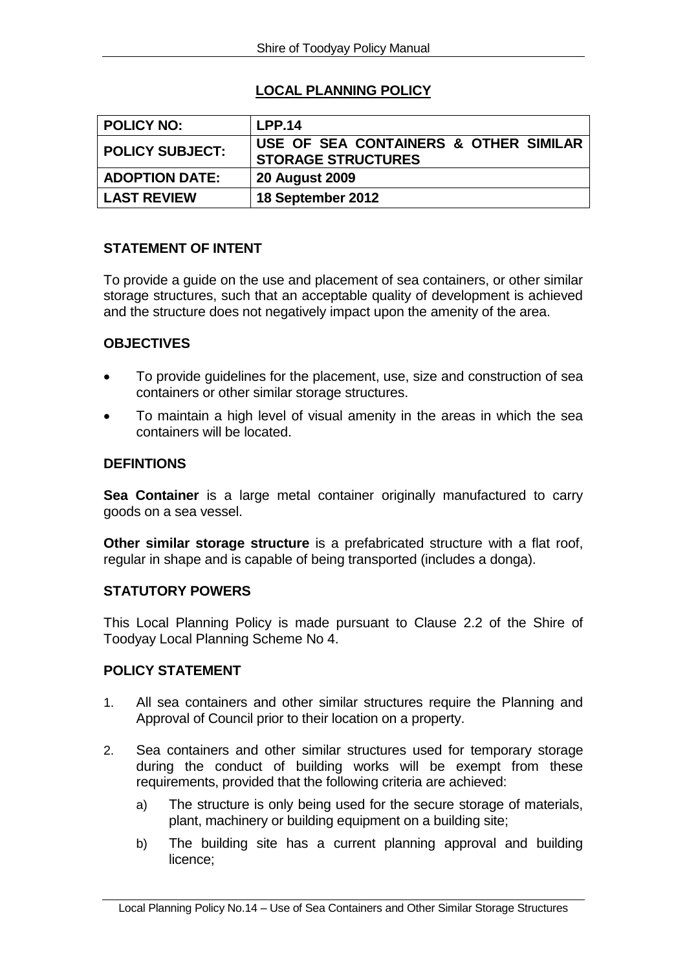# **LOCAL PLANNING POLICY**

| POLICY NO:            | <b>LPP.14</b>                                                      |
|-----------------------|--------------------------------------------------------------------|
| POLICY SUBJECT:       | USE OF SEA CONTAINERS & OTHER SIMILAR<br><b>STORAGE STRUCTURES</b> |
| <b>ADOPTION DATE:</b> | <b>20 August 2009</b>                                              |
| <b>LAST REVIEW</b>    | 18 September 2012                                                  |

# **STATEMENT OF INTENT**

To provide a guide on the use and placement of sea containers, or other similar storage structures, such that an acceptable quality of development is achieved and the structure does not negatively impact upon the amenity of the area.

# **OBJECTIVES**

- To provide guidelines for the placement, use, size and construction of sea containers or other similar storage structures.
- To maintain a high level of visual amenity in the areas in which the sea containers will be located.

#### **DEFINTIONS**

**Sea Container** is a large metal container originally manufactured to carry goods on a sea vessel.

**Other similar storage structure** is a prefabricated structure with a flat roof, regular in shape and is capable of being transported (includes a donga).

# **STATUTORY POWERS**

This Local Planning Policy is made pursuant to Clause 2.2 of the Shire of Toodyay Local Planning Scheme No 4.

# **POLICY STATEMENT**

- 1. All sea containers and other similar structures require the Planning and Approval of Council prior to their location on a property.
- 2. Sea containers and other similar structures used for temporary storage during the conduct of building works will be exempt from these requirements, provided that the following criteria are achieved:
	- a) The structure is only being used for the secure storage of materials, plant, machinery or building equipment on a building site;
	- b) The building site has a current planning approval and building licence;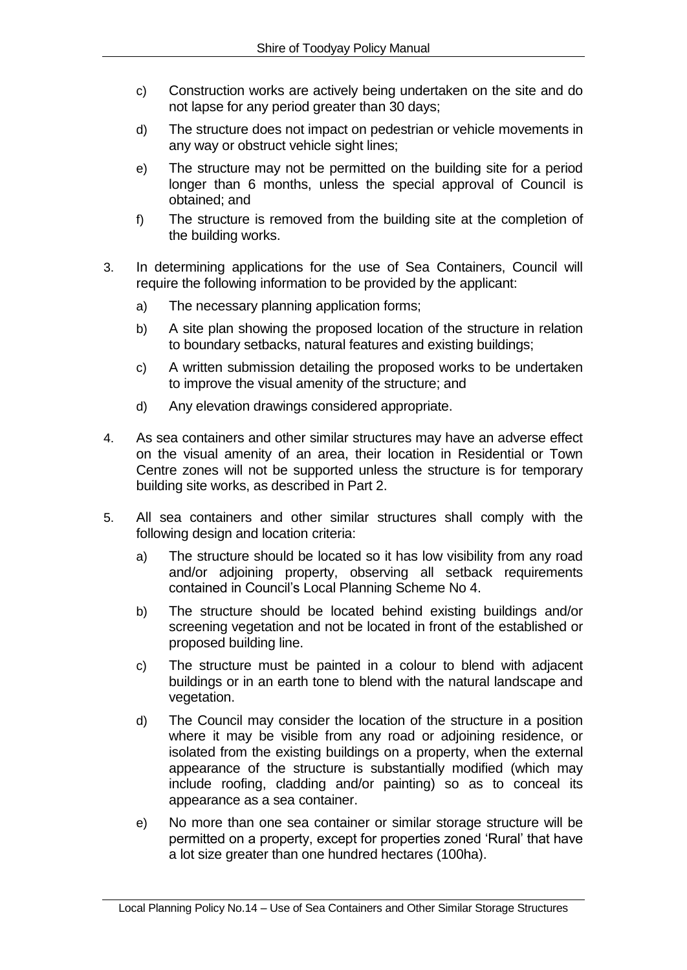- c) Construction works are actively being undertaken on the site and do not lapse for any period greater than 30 days;
- d) The structure does not impact on pedestrian or vehicle movements in any way or obstruct vehicle sight lines;
- e) The structure may not be permitted on the building site for a period longer than 6 months, unless the special approval of Council is obtained; and
- f) The structure is removed from the building site at the completion of the building works.
- 3. In determining applications for the use of Sea Containers, Council will require the following information to be provided by the applicant:
	- a) The necessary planning application forms;
	- b) A site plan showing the proposed location of the structure in relation to boundary setbacks, natural features and existing buildings;
	- c) A written submission detailing the proposed works to be undertaken to improve the visual amenity of the structure; and
	- d) Any elevation drawings considered appropriate.
- 4. As sea containers and other similar structures may have an adverse effect on the visual amenity of an area, their location in Residential or Town Centre zones will not be supported unless the structure is for temporary building site works, as described in Part 2.
- 5. All sea containers and other similar structures shall comply with the following design and location criteria:
	- a) The structure should be located so it has low visibility from any road and/or adjoining property, observing all setback requirements contained in Council's Local Planning Scheme No 4.
	- b) The structure should be located behind existing buildings and/or screening vegetation and not be located in front of the established or proposed building line.
	- c) The structure must be painted in a colour to blend with adjacent buildings or in an earth tone to blend with the natural landscape and vegetation.
	- d) The Council may consider the location of the structure in a position where it may be visible from any road or adjoining residence, or isolated from the existing buildings on a property, when the external appearance of the structure is substantially modified (which may include roofing, cladding and/or painting) so as to conceal its appearance as a sea container.
	- e) No more than one sea container or similar storage structure will be permitted on a property, except for properties zoned 'Rural' that have a lot size greater than one hundred hectares (100ha).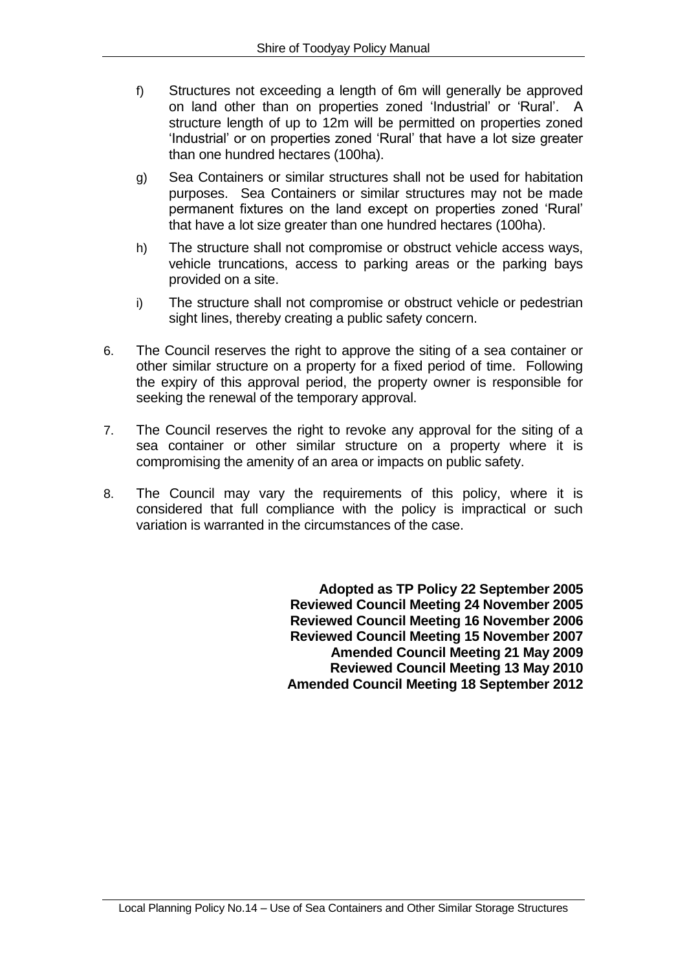- f) Structures not exceeding a length of 6m will generally be approved on land other than on properties zoned 'Industrial' or 'Rural'. A structure length of up to 12m will be permitted on properties zoned 'Industrial' or on properties zoned 'Rural' that have a lot size greater than one hundred hectares (100ha).
- g) Sea Containers or similar structures shall not be used for habitation purposes. Sea Containers or similar structures may not be made permanent fixtures on the land except on properties zoned 'Rural' that have a lot size greater than one hundred hectares (100ha).
- h) The structure shall not compromise or obstruct vehicle access ways, vehicle truncations, access to parking areas or the parking bays provided on a site.
- i) The structure shall not compromise or obstruct vehicle or pedestrian sight lines, thereby creating a public safety concern.
- 6. The Council reserves the right to approve the siting of a sea container or other similar structure on a property for a fixed period of time. Following the expiry of this approval period, the property owner is responsible for seeking the renewal of the temporary approval.
- 7. The Council reserves the right to revoke any approval for the siting of a sea container or other similar structure on a property where it is compromising the amenity of an area or impacts on public safety.
- 8. The Council may vary the requirements of this policy, where it is considered that full compliance with the policy is impractical or such variation is warranted in the circumstances of the case.

**Adopted as TP Policy 22 September 2005 Reviewed Council Meeting 24 November 2005 Reviewed Council Meeting 16 November 2006 Reviewed Council Meeting 15 November 2007 Amended Council Meeting 21 May 2009 Reviewed Council Meeting 13 May 2010 Amended Council Meeting 18 September 2012**